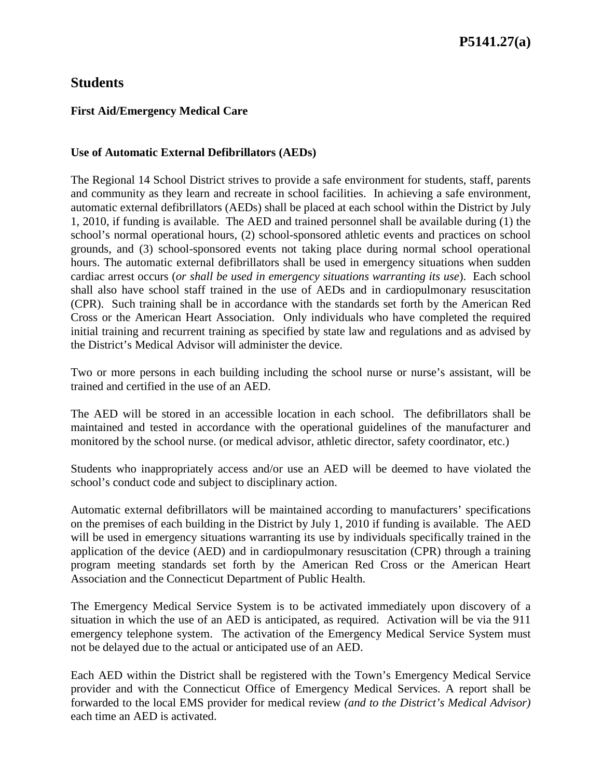## **Students**

#### **First Aid/Emergency Medical Care**

#### **Use of Automatic External Defibrillators (AEDs)**

The Regional 14 School District strives to provide a safe environment for students, staff, parents and community as they learn and recreate in school facilities. In achieving a safe environment, automatic external defibrillators (AEDs) shall be placed at each school within the District by July 1, 2010, if funding is available. The AED and trained personnel shall be available during (1) the school's normal operational hours, (2) school-sponsored athletic events and practices on school grounds, and (3) school-sponsored events not taking place during normal school operational hours. The automatic external defibrillators shall be used in emergency situations when sudden cardiac arrest occurs (*or shall be used in emergency situations warranting its use*). Each school shall also have school staff trained in the use of AEDs and in cardiopulmonary resuscitation (CPR). Such training shall be in accordance with the standards set forth by the American Red Cross or the American Heart Association. Only individuals who have completed the required initial training and recurrent training as specified by state law and regulations and as advised by the District's Medical Advisor will administer the device.

Two or more persons in each building including the school nurse or nurse's assistant, will be trained and certified in the use of an AED.

The AED will be stored in an accessible location in each school. The defibrillators shall be maintained and tested in accordance with the operational guidelines of the manufacturer and monitored by the school nurse. (or medical advisor, athletic director, safety coordinator, etc.)

Students who inappropriately access and/or use an AED will be deemed to have violated the school's conduct code and subject to disciplinary action.

Automatic external defibrillators will be maintained according to manufacturers' specifications on the premises of each building in the District by July 1, 2010 if funding is available. The AED will be used in emergency situations warranting its use by individuals specifically trained in the application of the device (AED) and in cardiopulmonary resuscitation (CPR) through a training program meeting standards set forth by the American Red Cross or the American Heart Association and the Connecticut Department of Public Health.

The Emergency Medical Service System is to be activated immediately upon discovery of a situation in which the use of an AED is anticipated, as required. Activation will be via the 911 emergency telephone system. The activation of the Emergency Medical Service System must not be delayed due to the actual or anticipated use of an AED.

Each AED within the District shall be registered with the Town's Emergency Medical Service provider and with the Connecticut Office of Emergency Medical Services. A report shall be forwarded to the local EMS provider for medical review *(and to the District's Medical Advisor)*  each time an AED is activated.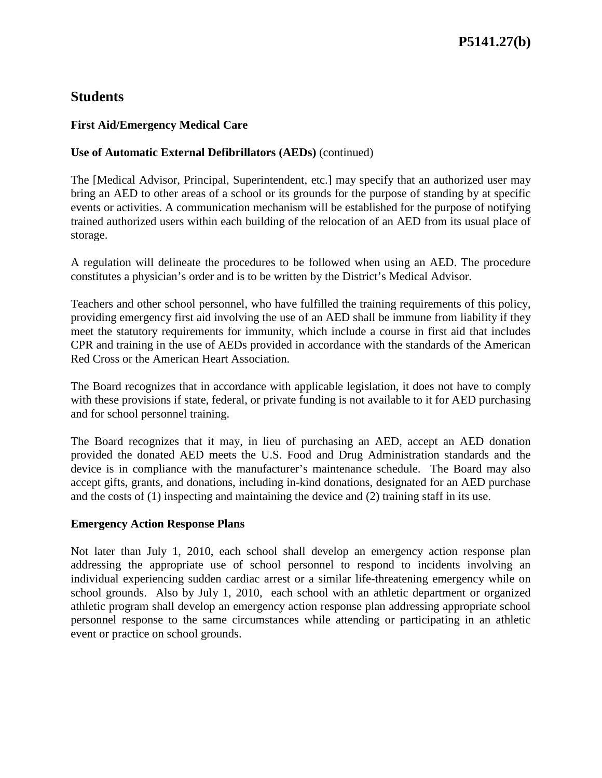## **Students**

#### **First Aid/Emergency Medical Care**

#### **Use of Automatic External Defibrillators (AEDs)** (continued)

The [Medical Advisor, Principal, Superintendent, etc.] may specify that an authorized user may bring an AED to other areas of a school or its grounds for the purpose of standing by at specific events or activities. A communication mechanism will be established for the purpose of notifying trained authorized users within each building of the relocation of an AED from its usual place of storage.

A regulation will delineate the procedures to be followed when using an AED. The procedure constitutes a physician's order and is to be written by the District's Medical Advisor.

Teachers and other school personnel, who have fulfilled the training requirements of this policy, providing emergency first aid involving the use of an AED shall be immune from liability if they meet the statutory requirements for immunity, which include a course in first aid that includes CPR and training in the use of AEDs provided in accordance with the standards of the American Red Cross or the American Heart Association.

The Board recognizes that in accordance with applicable legislation, it does not have to comply with these provisions if state, federal, or private funding is not available to it for AED purchasing and for school personnel training.

The Board recognizes that it may, in lieu of purchasing an AED, accept an AED donation provided the donated AED meets the U.S. Food and Drug Administration standards and the device is in compliance with the manufacturer's maintenance schedule. The Board may also accept gifts, grants, and donations, including in-kind donations, designated for an AED purchase and the costs of (1) inspecting and maintaining the device and (2) training staff in its use.

#### **Emergency Action Response Plans**

Not later than July 1, 2010, each school shall develop an emergency action response plan addressing the appropriate use of school personnel to respond to incidents involving an individual experiencing sudden cardiac arrest or a similar life-threatening emergency while on school grounds. Also by July 1, 2010, each school with an athletic department or organized athletic program shall develop an emergency action response plan addressing appropriate school personnel response to the same circumstances while attending or participating in an athletic event or practice on school grounds.